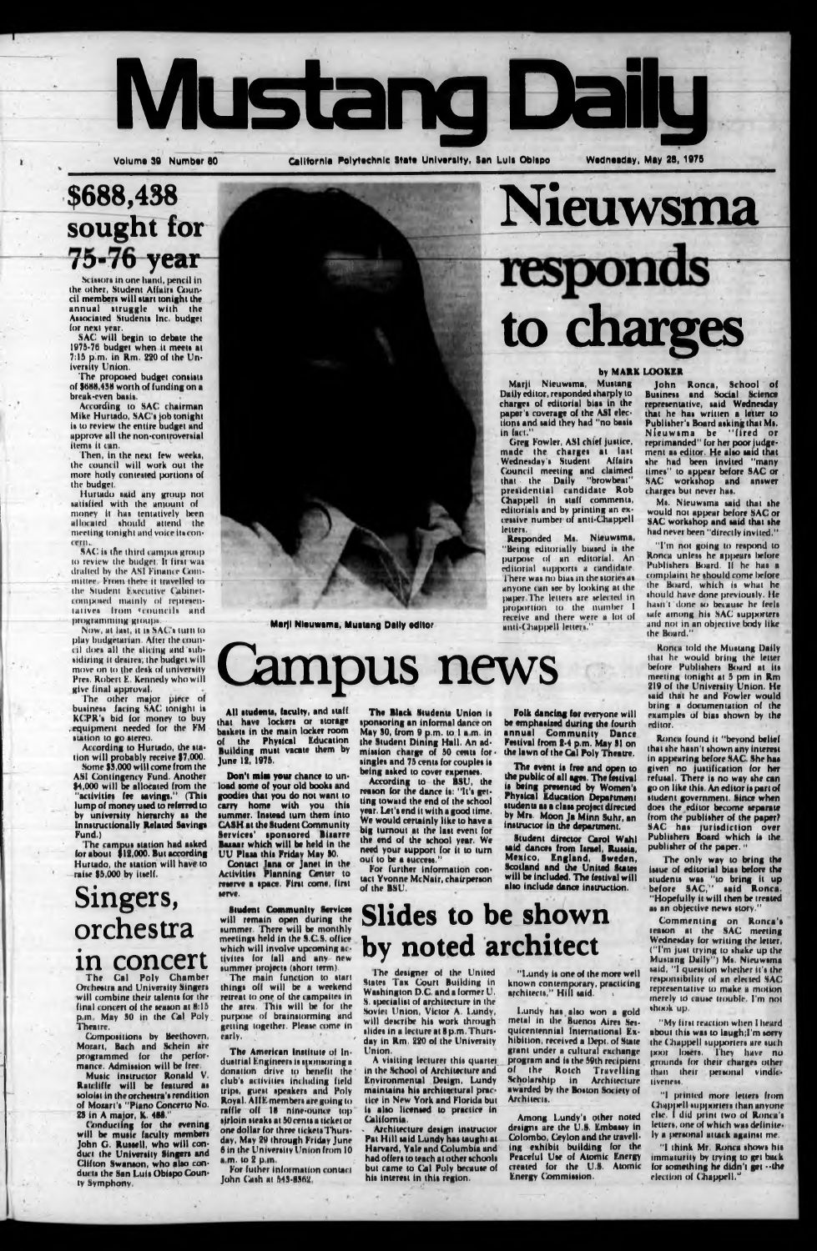

California Polytechnic State University, San Luls Oblspo

### **\$688,438 sought for** 75-76 year

**Nieuwsma**

Scissors in one hand, pencil in the other, Student Affairs Council members will start tonight the annual druggie with the Associated Student» Inc. budget (or next year.

The proposed budget consists of \$688,438 worth of funding on a breuk-rven ba»i».

According to SAC chairman Mike Hurtado, SAC's job tonight i» to review the entire budget and approve all the non-controversial item» it can.

Then, in the next few weeks, the council will work out the more hotly conteued portion» of the budget.

SAC will begin to debate the 1975-76 budget when it meet» at 7:15 pirn, in Rm. 220 of the University Union.

According to Hurtado, the station will probably receive 97,000.

Hurtado »aid any group not satisfied with the amount of money it ha» tentatively been allocated »hould attend the meeting tonight and voice it» c oncern,.

SAC is the third campus group to review the budget. It first was dialled by the ASI Finance Committee. From, there it tmvelled to the Student Executive Cabinetcomposed mainly of representaiive» from «council» and programming groups.

Some \$3,000 will come from the ASI Contingency Fund. Another 14,000 will be allocated from the "aciivitiat fee laving»." (Thit lump of money uied to referred to by univenity hierarchy ai the Innitructionally Related Saving\* Fund.)

The campus station had asked (or about \$12,000. But according Hurtado, the station will have to raise \$5,000 by itself.



 $a_{\frac{1}{2}+1}$ 

Marji Nieuwama, Mustang Daily editor

# ampus news

Now, at iait, it i» SAC'» turn to play budgetarian. After the council dor» all the dicing and tub sidizing it desires; the budget will move on to the desk of university Pres. Robert E. Kennedy who will give final approval.

The other major piece of business facing SAC tonight is KCPR'i bid for money to buy .equipment needed for the FM »union lo go »tereo.

Greg Fowler, ASI chief justice, made the charge» at la»t Wednesday's Student Council meeting and claimed that the Daily "browbeat" presidential candidate Rob Chappell in staff comments, editorial» and by printing an excessive number of anti-Chappell letter».

Reiponded Mi. Nieuwima, "Being editorially biased is the purpose' of an editorial. An editorial supports a candidate. There was no bias in the stories as anyone can see by looking at the paper.The letters are selected in proportion to thr number I receive and there were a lot of anti-Chappell letters."

Conducting for the evening will be music faculty member» John G. Russell, who will conduct the University Singers and Clifton Swamon, who also conducts the San Luis Obispo County Symphony,

All students, faculty, and staff that have locker» or itorage baiketi in the main locker room the Physical Education Building muit vacate them by June 12, 1975.

### **Singers, orchestra in concert**

Don't miss your chance to unload some of your old books and goodie» that you do not want to carry home with you this summer. Instead turn them into **CASH at the Student Community** Service»' iponiored Biiarre Bazaar which will be held in the UU Plan thii Friday May 90. Contact Jana or Janet in the Activities Planning Center to reserve a space. First come, first »erve.

The Black Students Union is sponsoring an informal dance on May 90, from 9 p.m. to I a m. in the Student Dining Hall. An admission charge of 50 cents forsingles and 75 cents for couples is being asked to cover expenses.

The Cal Poly Chamber Orchestra and University Singer» will combine their talent» for the final concert of the season at 8:15 p in May 90 in the Cal Poly Theatre.

Compositions by Beethoven, Morart, Bach and Schein are programmed (or the performance. Admission will be free.

**Student Community Services** will remain open during the summer. There will be monthly meeting» held in the S.C.S. office which will involve upcoming activites for fall and any new lummer project» (»hurt term),

The main function to start thing» off will be a weekend retreat lo one of the campiite» in the area. This will be for the purpose of brainstorming and getting together. Please come In early,

The American Institute of Industrial Engineers is sponsoring a donation drive to benefit the' club'» activities including field trip», guest ipeaken and Poly Royal. AIIE members are going lo raffle off 18 nine-ounce top sirloin »teaks at 50 cents a ticket or one dollar for three ticket»Thursday, May 29 through Friday June 6 in the University Union from 10  $a.m.$  to  $2 p.m.$ 

Mu»ic instructor Ronald V, Ratcliffe will be featured ai mloin in theorchettra'» rendition of Mozart's "Piano Concerto No. 29 in A maior, K. 488."

. \_ **to charges**

1 Marji Nieuwima, Muitang Daily editor, reiponded iharply to charges of editorial bias in the paper'» coverage of the ASI election» and »aid they had "no bail» in fact."

> The event is free and open to the public of all ages. The (estival ii being presented by Women'» Physical Education Department students as a class project directed by Mr». Moon Ja Minn Suhr, an initructor in the department.

The designer of the United State» Tax Court Building in Washington D.C. and a former U. S. specialist of architecture in the Soviet Union, Victor A. Lundy, will describe his work through slide» In a lecture at 8 p.m. Thursday in Rm, 220 of the University Union.

> Among Lundy's other noted designs are the U.8. Embassy in Colombo, Ceylon and the travelling exhibit building for the Peaceful Use of Atomic Energy created for the U.8. Atomic **Energy Commission.**

M». Nieuwsma said that she would not appear before SAC or SAC workshop and said that she had never been "directly invited."

The only way to bring issue of editorial bias before the students was "to bring it up before SAC,1' said Ronca. "Hopefully it will then be treated as an objective news story."

"I printed more letters from Chappell supporters than anyone else. I did ptint two of Roma's letters, one of which was definitely a personal attack against me.

"I think Mr. Ronca shows his immaturity by trying lo get buck for something he didn't get --the election of Chappell.<sup>3</sup>

For futher information contact John Cash at 649-8902

#### by MARK LOOKER

According to the BSU, the reason for the dance is: "It's getting towaid the end of the school year. Let'» end it with a good time. We would certainly like to have a big turnout at the last event for the end of the school year. We need your support for it to turn out to be a success For further information contact Yvonne McNair, chairperson of thr BSU.

Folk dancing for everyone will be emphasised during the fourth annual Community Dance Festival from 2-4 p.m. May 91 on the lawn of the Cal Poly Tneatre.

Student director Carol Wahl said dances from Israel, Russia. Mexico, England, Sweden,

Scotland and the United State» will be included. The festival will alio include dance instruction.

### **Slides to be shown by noted architect**

A visiting lecturer this quartet in the School of Architecture and Environmental Design, Lundy maintains hi» architec tural practice in New York and Florida but is also licensed to practice in California,

Architecture design instructor Pat Hill said Lundy has taught at Harvard, Yale and Columbia and had offers to teach at other schools but came to Cal Poly because of his interest in this region.

"Lundy is one of the more well known contemporary, practicing architects," Hill said.

Lundy hai alio won a gold metal in the Buenos Aires Sesquicentennial International Exhibition, received a Dept, of Suite grant under a cultural exchange program and is the 59th recipient of the Rotch Travelling Scholarship in Architecture awarded by the Boston Society of Architect».

John Ronca, School of Business and Sodal Science representative, said Wednesday that he has written a letter to Publisher's Board asking that Ms. Nieuwsma be "fired or reprimanded" for her poor judgement as editor. He also said that «he had been invited "many limes" to appear before SAC or , SAC workshop and answer charges but never has.

"I'm not going to respond to Ronca unless he appears before Publishers Board. If he has a complaint he should come before the Board, which is what he should have done previously. He hatn'i done so because he feels safe among his SAC supporters and not in an objective body like the Board."

Ronca told thr Muitang Daily that he would bring the letter before Publishers Board at its meeting tonight at 5 pm in Rm 219 of the University Union. He said that he and Fowler would bring a documentation of the examples of bias shown by the editor,

Ronca found it "beyond belief that she hasn't shown any interest In appearing brforr SAC. She has given no justification for her refusal. There is no way she can go on like this. An editor is part of student government. Since when does the editor become separate from the publisher of the paper? SAC has jurisdiction over Publishers Board which is the publisher of the paper. "

Commenting on Ronca'» iraion at the SAC meeting Wednesday (or writing the letter, ("I'm just trying to »hake up the Mustang Daily") Ms. Nieuwsma said, "I question whether it's the responsibility of an elected SAC representative to make a motion merely to cause trouble. I'm not shook up.

"My first reaction when I heard about this was to laugh;I'm sorry the ( Ihappell supporters are such |KN>r loser». They have no ground» for their charge» othet than their personal vindfctiveness.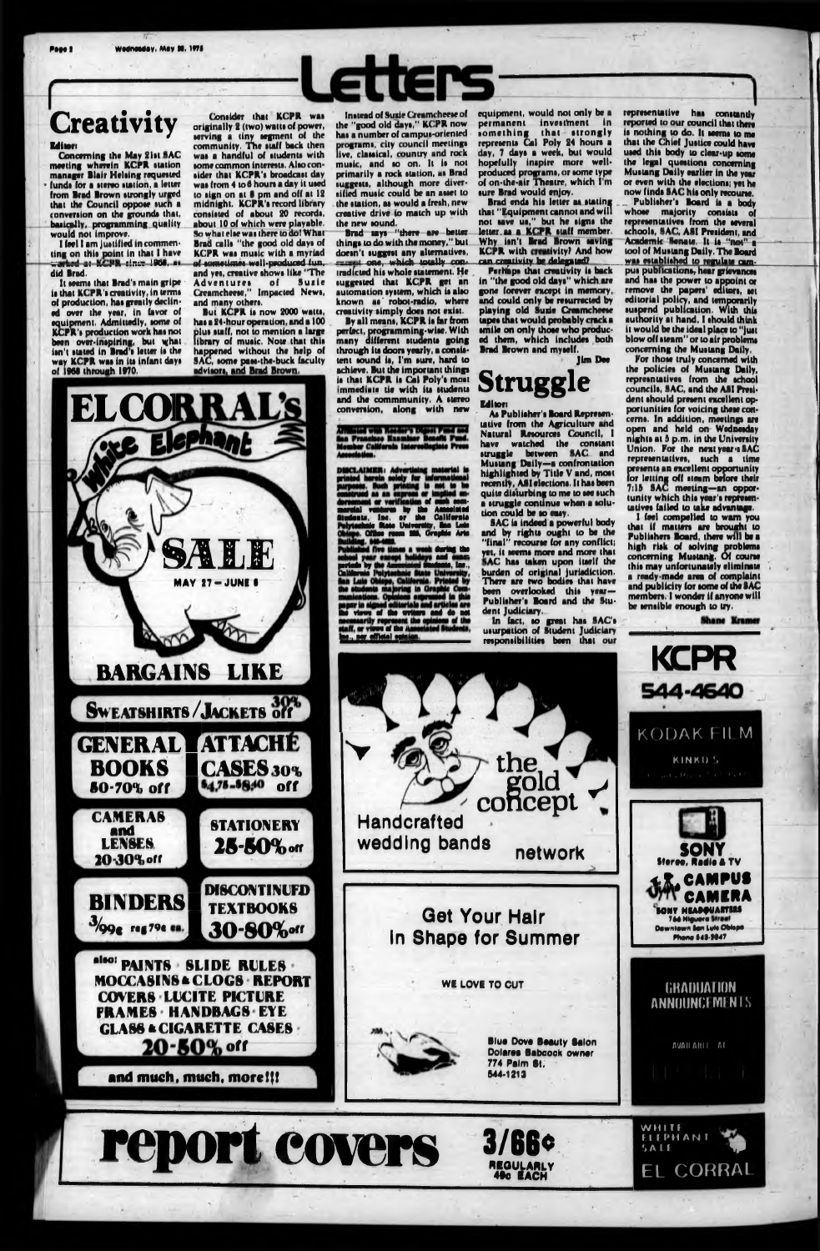### **Creativity**

#### **Editors**

Page 2

Concerning the May 21st SAC<br>meeting wherein KCPR station manager Blair Helsing requested funds for a stereo station, a letter from Brad Brown strongly urged that the Council oppose such a conversion on the grounds that, basically, programming quality would not improve.

I feel I am justified in commenting on this point in that I have did Brad.

It seems that Brad's main gripe is that KCPR's creativity, in terms of production, has greatly declined over the year, in favor of<br>equipment. Admittedly, some of<br>KCPR's production work has not been over-inspiring, but what isn't stated in Brad's letter is the

Consider that KCPR was originally 2 (two) watts of power, serving a tiny segment of the community. The staff back then was a handful of students with some common interests. Also consider that KCPR's broadcast day was from 4 to 6 hours a day it used to sign on at 8 pm and off at 12<br>midnight. KCPR's record library consisted of about 20 records. about 10 of which were playable. So what else was there to do! What Brad calls "the good old days of KCPR was music with a myriad<br>of sometimes well-produced fun. and yes, creative shows like "The Suzie Adventures of Suzie<br>Creamcheese," Impacted News, and many others.

But KCPR is now 2000 watts, has a 24-hour operation, and a 100 plus staff, not to mention a large<br>library of music. Note that this happened without the help of

**Instead of Suzie Creamcheese of** the "good old days." KCPR now has a number of campus-oriented programs, city council meetings<br>live, classical, country and rock music, and so on. It is not primarily a rock station, as Brad suggests, although more diversified music could be an asset to the station, as would a fresh, new creative drive to match up with the new sound.

Brad says "there are better things to do with the money," but doesn't suggest any alternatives. cest one, which totally contradicted his whole statement. He suggested that KCPR get an automation system, which is also known as robot-radio, where creativity simply does not exist.

By all means, KCPR is far from perfect, programming-wise. With<br>many different students going through its doors yearly, a consis-

California

equipment, would not only be a permanent investment in something that strongly<br>represents Cal Poly 24 hours a day, 7 days a week, but would hopefully inapire more wellproduced programs, or some type<br>of on-the-air Theatre, which I'm sure Brad would enjoy.

Brad ends his letter as stating that "Equipment cannot and will not save us," but he signs the letter as a KCPR staff member.<br>Why isn't Brad Brown saving<br>KCPR with creativity? And how can creativity be delegated?

Perhaps that creativity is back in "the good old days" which are gone forever except in memory. and could only be resurrected by playing old Suzie Creamcheese smile on only those who produced them, which includes both Brad Brown and myself.

reported to our council that there is nothing to do. It seems to me that the Chief Justice could have used this body to clear-up some the legal questions concerning Mustang Daily earlier in the year or even with the elections; yet he now finds SAC his only recourse. Publisher's Board is a body

representative has constantly

whose majority consists of schools, SAC, ASI President, and Academic Senate. It is "not" a tool of Mustang Daily. The Board was established to regulate campus publications, hear grievances and has the power to appoint or editorial policy, and temporarily<br>suspend publication. With this<br>authority at hand, I should think it would be the ideal place to "just blow off steam" or to air problems concerning the Mustang Daily.

a ready-made area of complaint and publicity for some of the SAC members. I wonder if anyone will be sensible enough to try.







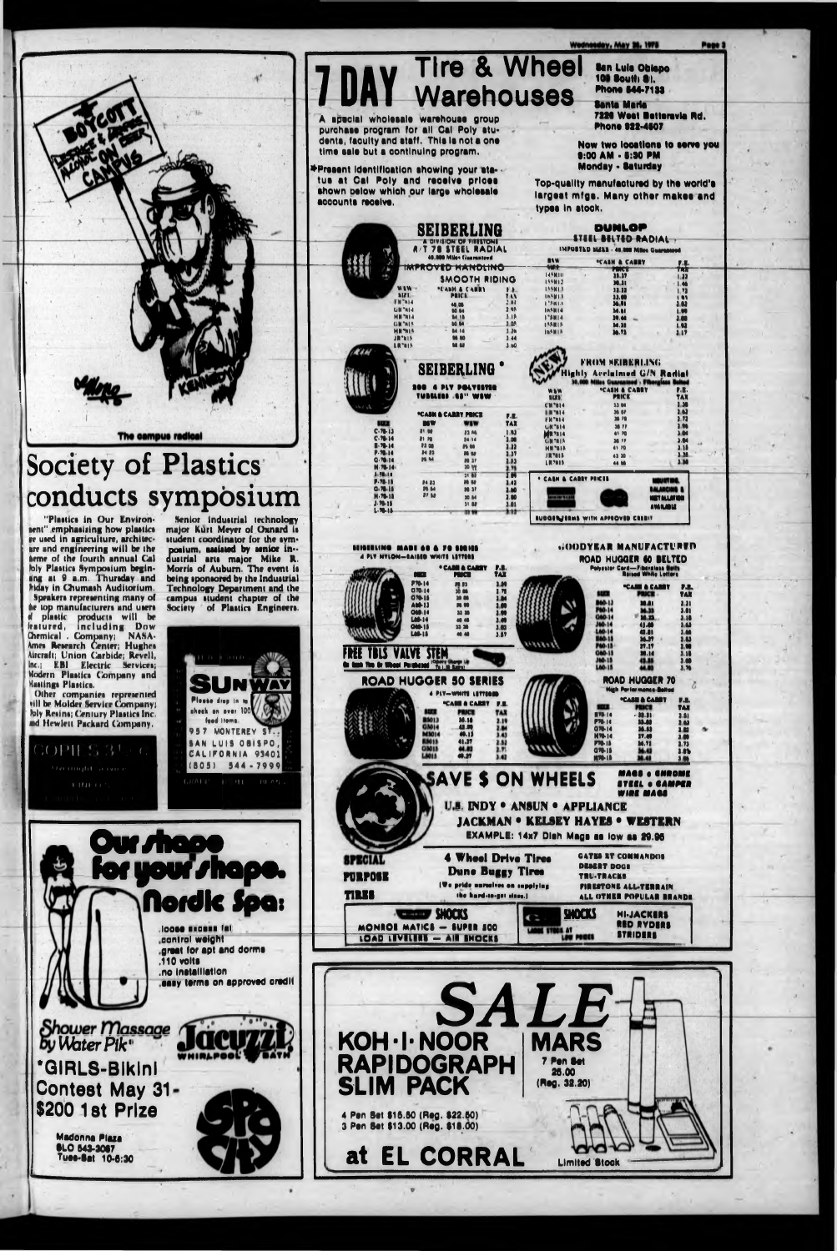**Ban Lule Oblepo** 109 South 81. **Phone 844-7133** 

7226 West Betteravia Rd. **Phone 922-4607** 

Now two locations to serve you 9:00 AM - 6:30 PM **Monday - Saturday** 

Top-quality manufactured by the world's largest mfgs. Many other makes and

| accounts receive.         |                                                                                                                     |                                |                          | iainaat mina, many omat makaa (<br>types in stock.                        |                                                           |                      |  |
|---------------------------|---------------------------------------------------------------------------------------------------------------------|--------------------------------|--------------------------|---------------------------------------------------------------------------|-----------------------------------------------------------|----------------------|--|
|                           | SEIBERLING<br>A DIVISION OF FIRESTONE<br><b>A/T 78 STEEL RADIAL</b><br>40.000 Miles Guaranteed<br>IMPROVED HANDLING |                                |                          | DUNLOP<br>STEEL BELTED RADIAL<br>IMPORTED SIZES - 40,000 Miles Guaranteed |                                                           |                      |  |
|                           |                                                                                                                     |                                |                          | <b>HAN</b>                                                                |                                                           |                      |  |
| 77                        |                                                                                                                     |                                |                          | <b>MAP</b>                                                                | <b>"CASH &amp; CABBY</b>                                  | $r$ .                |  |
|                           |                                                                                                                     |                                |                          |                                                                           | PINCE<br>38.37                                            | <b>TELE</b><br>1.32  |  |
|                           |                                                                                                                     | SMOOTH RIDING                  |                          | 145K10<br>199012                                                          | 30.31                                                     | 14                   |  |
|                           | <b>WAW</b>                                                                                                          | *CASH & CANNY                  | F.E.                     | 144013                                                                    | 11.11                                                     | 1, 22                |  |
|                           | \$121                                                                                                               | <b>PRICK</b>                   | 111                      | 165813                                                                    | 11.00                                                     | $\overline{\bullet}$ |  |
| FW7814                    |                                                                                                                     | 48.08                          | 2M                       | 125813                                                                    | 36.91                                                     | 101                  |  |
|                           | GR <sup>e</sup> NIA                                                                                                 | <b>MA</b> 64                   | 248                      | 165814                                                                    | <b>34.61</b>                                              | 1.00                 |  |
|                           | <b>MN</b> MI4<br>GN <sup>o</sup> nia                                                                                | <b>MA 18</b><br><b>10 M</b>    | $3 - 18$<br>1.03         | <b>FINA</b>                                                               | 39.44                                                     | 1.00                 |  |
|                           | <b>HRMIS</b>                                                                                                        | 84.14                          | 120                      | <b>ISSIDS</b>                                                             | 14.11                                                     | 1.02                 |  |
| JR'NIS                    |                                                                                                                     | M M                            | 3.44                     | <b>INSHIR</b>                                                             | 36.73                                                     | 117                  |  |
| LR"NIS                    |                                                                                                                     | M M                            | $3-60$                   |                                                                           |                                                           |                      |  |
|                           |                                                                                                                     |                                |                          |                                                                           |                                                           |                      |  |
|                           |                                                                                                                     |                                |                          |                                                                           | FROM SEIBERLING                                           |                      |  |
|                           | <b>SEIBERLING</b>                                                                                                   |                                |                          |                                                                           |                                                           |                      |  |
|                           |                                                                                                                     |                                |                          | thly Accluimed G/N Radial                                                 |                                                           |                      |  |
|                           |                                                                                                                     |                                |                          | 30.000 Miles Guaranteed - Fiberglass Belted                               |                                                           |                      |  |
|                           |                                                                                                                     |                                |                          |                                                                           | <b>"CASH &amp; CARRY</b>                                  | P.R.                 |  |
|                           | Jordini                                                                                                             | <b>LES'' WEW</b>               |                          | <b>SIZE</b>                                                               | <b>PRICE</b>                                              | TAX                  |  |
|                           |                                                                                                                     |                                |                          | CH'ni4                                                                    | 33 04                                                     | 1.38                 |  |
|                           |                                                                                                                     | <b>"CASH &amp; CABRY PRICE</b> | $\mathbf{F}.\mathbf{E}.$ | <b>HIR 7614</b>                                                           | 36 87                                                     | 10                   |  |
| tux                       | na v                                                                                                                | WEW                            | <b>TAX</b>               | <b>FR°NI4</b>                                                             | 36 78                                                     | 2.72                 |  |
| C.78.13                   | <b>21 00</b>                                                                                                        |                                |                          | <b>GN"814</b>                                                             | 38.77                                                     | 1.06                 |  |
| C.78.14                   | 91.70                                                                                                               | <b>33.86</b><br>26.34          | 1.03<br>1.00             | <b>MR7N14</b>                                                             | 41 70                                                     | 3.04                 |  |
| R. 38.14                  | <b>23 GB</b>                                                                                                        | <b>Ph</b> 66                   | 1.22                     | <b>GMT018</b>                                                             | 38.77                                                     | 3.04                 |  |
| P. 78-14                  | 34 33                                                                                                               | <b>20 SF</b>                   | 1.39                     | <b>HH'BIA</b>                                                             | 41 70                                                     | $3 - 18$<br>1.34     |  |
| 0.7611                    | 25 M                                                                                                                | 80.37                          | 1.83                     | <b>JRMIS</b><br><b>LIE7815</b>                                            | 43.30                                                     | 3M                   |  |
| $M.76 - 14$               |                                                                                                                     | <b>N</b> or                    | 2.75                     |                                                                           | 66.98                                                     |                      |  |
| $-0.0141$                 |                                                                                                                     | $31 - 41$                      | ΣW                       |                                                                           |                                                           |                      |  |
| <b>P. 78.18</b>           | 84.83                                                                                                               | <b>36 BJ</b>                   | 1.42                     | * CASH & CARRY PEICES                                                     |                                                           |                      |  |
| G-78-15                   | <b>26.64</b>                                                                                                        | <b>26 37</b>                   | 2.80                     |                                                                           |                                                           |                      |  |
| <b>M. 78.18</b>           | 27.52                                                                                                               | 30 M                           | 1.00                     | <b>ALLENTSIA</b>                                                          |                                                           | <b>AT ALLATION</b>   |  |
| $3.76 - 15$               |                                                                                                                     | 31.88                          | 1.01                     |                                                                           |                                                           | AVAILABLE            |  |
| 1.78.18                   |                                                                                                                     | 33 W                           | 1.10                     |                                                                           |                                                           |                      |  |
|                           |                                                                                                                     |                                |                          |                                                                           | <b>BUDGENJERMS WITH APPROVED CREDIT</b>                   |                      |  |
|                           |                                                                                                                     |                                |                          |                                                                           |                                                           |                      |  |
| rimirking i               | mabi a                                                                                                              |                                |                          |                                                                           | <b><i><u>HOODYEAR MANUFACTURED</u></i></b>                |                      |  |
| <b>4 PLY NYLON-BAIRED</b> | WHITE                                                                                                               |                                |                          |                                                                           | <b>HUGGER 60</b><br><b>ROAD</b>                           | HARIO                |  |
|                           |                                                                                                                     | <sup>.</sup> CABIN & CARRY     | P.B.                     |                                                                           |                                                           |                      |  |
| アントリスト アル                 |                                                                                                                     |                                | m                        |                                                                           | Polyester Cord-Fibergiass Heits<br>- Reised White Lotters |                      |  |

A apecial wholesale warehouse group

purchase program for all Cal Poly students, faculty and staff. This is not a one

Present identification showing your sta- tus at Cal Poly and receive prices

shown pelow which our large wholesale

time sale but a continuing program.



**Society of Plastics** conducts symposium

The campus radical

"Plastics in Our Environsent" emphasizing how plastics re used in agriculture, architecare and engineering will be the heme of the fourth annual Cal bly Plastics Symposium begin-<br>sing at 9 a.m. Thursday and<br>hiday in Chumash Auditorium. Speakers representing many of sprakers representing many of<br>the top manufacturers and users<br>d plastic products will be<br>leatured, including Dow<br>Chemical . Company: NASA-<br>Ames Research Center; Hughes Aircraft; Union Carbide; Revell, Inc.; EBI Electric Services; Modern Plastics Company and Hastings Plastics.

Other companies represented vill be Molder Service Company; bly Resins; Century Plastics Inc.

Senior Industrial technology major Kurt Meyer of Oxnard is student coordinator for the symposium, assisted by senior in-<br>dustrial arts major Mike R.<br>Morris of Auburn. The event is being sponsored by the Industrial. Technology Department and the<br>campus student chapter of the Society of Plastics Engineers.



ad Hewlett Packard Company.  $LOPHS31$ 

**FINETI** 

 $\bullet$  TV.